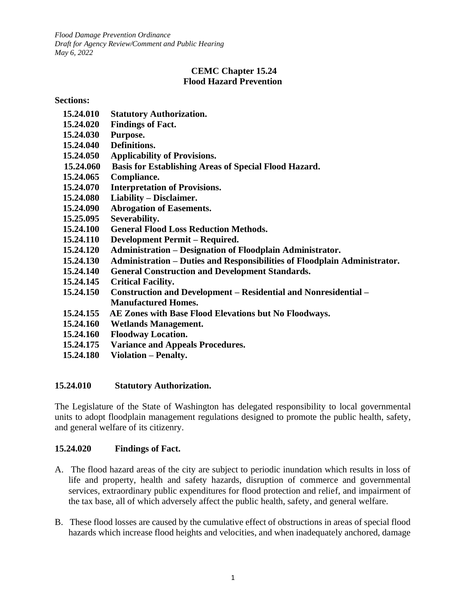*Flood Damage Prevention Ordinance Draft for Agency Review/Comment and Public Hearing May 6, 2022*

### **CEMC Chapter 15.24 Flood Hazard Prevention**

#### **Sections:**

- **[15.24.010 Statutory Authorization.](#page-0-0)**
- **[15.24.020 Findings of Fact.](#page-0-1)**
- **[15.24.030 Purpose.](#page-1-0)**
- **[15.24.040 Definitions.](#page-1-1)**
- **[15.24.050 Applicability of Provisions.](#page-5-0)**
- **[15.24.060 Basis for Establishing Areas of Special Flood Hazard.](#page-6-0)**
- **15.24.065 Compliance.**
- **[15.24.070 Interpretation of Provisions.](#page-6-1)**
- **[15.24.080 Liability](#page-6-2) – Disclaimer.**
- **[15.24.090 Abrogation of Easements.](#page-6-3)**
- **15.25.095 Severability.**
- **[15.24.100 General Flood Loss Reduction Methods.](#page-7-0)**
- **[15.24.110 Development Permit](#page-7-1) – Required.**
- **15.24.120 Administration – [Designation of Floodplain Administrator.](#page-8-0)**
- **15.24.130 Administration – [Duties and Responsibilities of Floodplain Administrator.](#page-8-1)**
- **[15.24.140 General Construction and Development Standards.](#page-10-0)**
- **[15.24.145 Critical Facility.](#page-11-0)**
- **[15.24.150 Construction and Development](#page-12-0) – Residential and Nonresidential – [Manufactured Homes.](#page-12-0)**
- **15.24.155 AE Zones with Base Flood Elevations but No Floodways.**
- **[15.24.160 Wetlands Management.](#page-16-0)**
- **[15.24.160 Floodway Location.](#page-16-1)**
- **15.24.175 Variance and Appeals Procedures.**
- **[15.24.180 Violation](#page-20-0) – Penalty.**

#### <span id="page-0-0"></span>**15.24.010 Statutory Authorization.**

The Legislature of the State of Washington has delegated responsibility to local governmental units to adopt floodplain management regulations designed to promote the public health, safety, and general welfare of its citizenry.

#### <span id="page-0-1"></span>**15.24.020 Findings of Fact.**

- A. The flood hazard areas of the city are subject to periodic inundation which results in loss of life and property, health and safety hazards, disruption of commerce and governmental services, extraordinary public expenditures for flood protection and relief, and impairment of the tax base, all of which adversely affect the public health, safety, and general welfare.
- B. These flood losses are caused by the cumulative effect of obstructions in areas of special flood hazards which increase flood heights and velocities, and when inadequately anchored, damage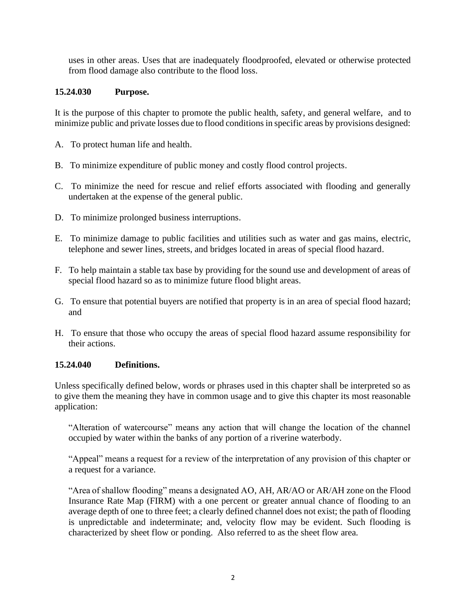uses in other areas. Uses that are inadequately floodproofed, elevated or otherwise protected from flood damage also contribute to the flood loss.

# <span id="page-1-0"></span>**15.24.030 Purpose.**

It is the purpose of this chapter to promote the public health, safety, and general welfare, and to minimize public and private losses due to flood conditions in specific areas by provisions designed:

- A. To protect human life and health.
- B. To minimize expenditure of public money and costly flood control projects.
- C. To minimize the need for rescue and relief efforts associated with flooding and generally undertaken at the expense of the general public.
- D. To minimize prolonged business interruptions.
- E. To minimize damage to public facilities and utilities such as water and gas mains, electric, telephone and sewer lines, streets, and bridges located in areas of special flood hazard.
- F. To help maintain a stable tax base by providing for the sound use and development of areas of special flood hazard so as to minimize future flood blight areas.
- G. To ensure that potential buyers are notified that property is in an area of special flood hazard; and
- H. To ensure that those who occupy the areas of special flood hazard assume responsibility for their actions.

# <span id="page-1-1"></span>**15.24.040 Definitions.**

Unless specifically defined below, words or phrases used in this chapter shall be interpreted so as to give them the meaning they have in common usage and to give this chapter its most reasonable application:

"Alteration of watercourse" means any action that will change the location of the channel occupied by water within the banks of any portion of a riverine waterbody.

"Appeal" means a request for a review of the interpretation of any provision of this chapter or a request for a variance.

"Area of shallow flooding" means a designated AO, AH, AR/AO or AR/AH zone on the Flood Insurance Rate Map (FIRM) with a one percent or greater annual chance of flooding to an average depth of one to three feet; a clearly defined channel does not exist; the path of flooding is unpredictable and indeterminate; and, velocity flow may be evident. Such flooding is characterized by sheet flow or ponding. Also referred to as the sheet flow area.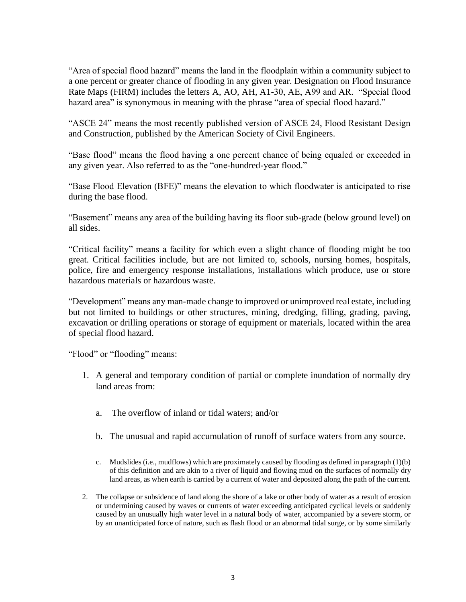"Area of special flood hazard" means the land in the floodplain within a community subject to a one percent or greater chance of flooding in any given year. Designation on Flood Insurance Rate Maps (FIRM) includes the letters A, AO, AH, A1-30, AE, A99 and AR. "Special flood hazard area" is synonymous in meaning with the phrase "area of special flood hazard."

"ASCE 24" means the most recently published version of ASCE 24, Flood Resistant Design and Construction, published by the American Society of Civil Engineers.

"Base flood" means the flood having a one percent chance of being equaled or exceeded in any given year. Also referred to as the "one-hundred-year flood."

"Base Flood Elevation (BFE)" means the elevation to which floodwater is anticipated to rise during the base flood.

"Basement" means any area of the building having its floor sub-grade (below ground level) on all sides.

"Critical facility" means a facility for which even a slight chance of flooding might be too great. Critical facilities include, but are not limited to, schools, nursing homes, hospitals, police, fire and emergency response installations, installations which produce, use or store hazardous materials or hazardous waste.

"Development" means any man-made change to improved or unimproved real estate, including but not limited to buildings or other structures, mining, dredging, filling, grading, paving, excavation or drilling operations or storage of equipment or materials, located within the area of special flood hazard.

"Flood" or "flooding" means:

- 1. A general and temporary condition of partial or complete inundation of normally dry land areas from:
	- a. The overflow of inland or tidal waters; and/or
	- b. The unusual and rapid accumulation of runoff of surface waters from any source.
	- c. Mudslides (i.e., mudflows) which are proximately caused by flooding as defined in paragraph (1)(b) of this definition and are akin to a river of liquid and flowing mud on the surfaces of normally dry land areas, as when earth is carried by a current of water and deposited along the path of the current.
- 2. The collapse or subsidence of land along the shore of a lake or other body of water as a result of erosion or undermining caused by waves or currents of water exceeding anticipated cyclical levels or suddenly caused by an unusually high water level in a natural body of water, accompanied by a severe storm, or by an unanticipated force of nature, such as flash flood or an abnormal tidal surge, or by some similarly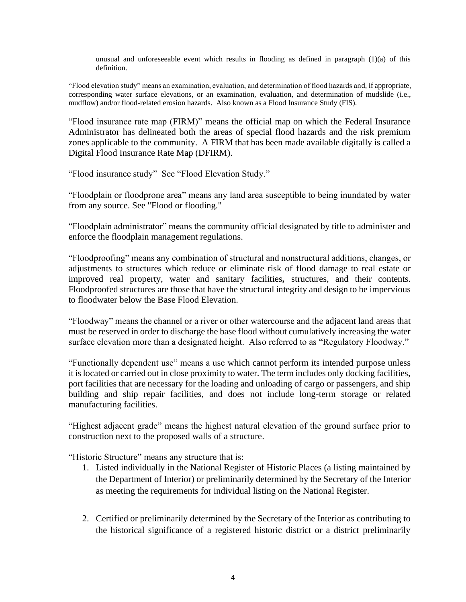unusual and unforeseeable event which results in flooding as defined in paragraph  $(1)(a)$  of this definition.

"Flood elevation study" means an examination, evaluation, and determination of flood hazards and, if appropriate, corresponding water surface elevations, or an examination, evaluation, and determination of mudslide (i.e., mudflow) and/or flood-related erosion hazards. Also known as a Flood Insurance Study (FIS).

"Flood insurance rate map (FIRM)" means the official map on which the Federal Insurance Administrator has delineated both the areas of special flood hazards and the risk premium zones applicable to the community. A FIRM that has been made available digitally is called a Digital Flood Insurance Rate Map (DFIRM).

"Flood insurance study" See "Flood Elevation Study."

"Floodplain or floodprone area" means any land area susceptible to being inundated by water from any source. See "Flood or flooding."

"Floodplain administrator" means the community official designated by title to administer and enforce the floodplain management regulations.

"Floodproofing" means any combination of structural and nonstructural additions, changes, or adjustments to structures which reduce or eliminate risk of flood damage to real estate or improved real property, water and sanitary facilities*,* structures, and their contents. Floodproofed structures are those that have the structural integrity and design to be impervious to floodwater below the Base Flood Elevation.

"Floodway" means the channel or a river or other watercourse and the adjacent land areas that must be reserved in order to discharge the base flood without cumulatively increasing the water surface elevation more than a designated height. Also referred to as "Regulatory Floodway."

"Functionally dependent use" means a use which cannot perform its intended purpose unless it is located or carried out in close proximity to water. The term includes only docking facilities, port facilities that are necessary for the loading and unloading of cargo or passengers, and ship building and ship repair facilities, and does not include long-term storage or related manufacturing facilities.

"Highest adjacent grade" means the highest natural elevation of the ground surface prior to construction next to the proposed walls of a structure.

"Historic Structure" means any structure that is:

- 1. Listed individually in the National Register of Historic Places (a listing maintained by the Department of Interior) or preliminarily determined by the Secretary of the Interior as meeting the requirements for individual listing on the National Register.
- 2. Certified or preliminarily determined by the Secretary of the Interior as contributing to the historical significance of a registered historic district or a district preliminarily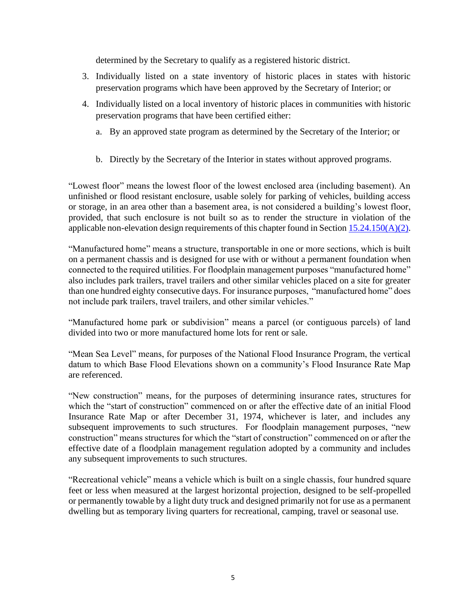determined by the Secretary to qualify as a registered historic district.

- 3. Individually listed on a state inventory of historic places in states with historic preservation programs which have been approved by the Secretary of Interior; or
- 4. Individually listed on a local inventory of historic places in communities with historic preservation programs that have been certified either:
	- a. By an approved state program as determined by the Secretary of the Interior; or
	- b. Directly by the Secretary of the Interior in states without approved programs.

"Lowest floor" means the lowest floor of the lowest enclosed area (including basement). An unfinished or flood resistant enclosure, usable solely for parking of vehicles, building access or storage, in an area other than a basement area, is not considered a building's lowest floor, provided, that such enclosure is not built so as to render the structure in violation of the applicable non-elevation design requirements of this chapter found in Section  $15.24.150(A)(2)$ .

"Manufactured home" means a structure, transportable in one or more sections, which is built on a permanent chassis and is designed for use with or without a permanent foundation when connected to the required utilities. For floodplain management purposes "manufactured home" also includes park trailers, travel trailers and other similar vehicles placed on a site for greater than one hundred eighty consecutive days. For insurance purposes, "manufactured home" does not include park trailers, travel trailers, and other similar vehicles."

"Manufactured home park or subdivision" means a parcel (or contiguous parcels) of land divided into two or more manufactured home lots for rent or sale.

"Mean Sea Level" means, for purposes of the National Flood Insurance Program, the vertical datum to which Base Flood Elevations shown on a community's Flood Insurance Rate Map are referenced.

"New construction" means, for the purposes of determining insurance rates, structures for which the "start of construction" commenced on or after the effective date of an initial Flood Insurance Rate Map or after December 31, 1974, whichever is later, and includes any subsequent improvements to such structures. For floodplain management purposes, "new construction" means structures for which the "start of construction" commenced on or after the effective date of a floodplain management regulation adopted by a community and includes any subsequent improvements to such structures.

"Recreational vehicle" means a vehicle which is built on a single chassis, four hundred square feet or less when measured at the largest horizontal projection, designed to be self-propelled or permanently towable by a light duty truck and designed primarily not for use as a permanent dwelling but as temporary living quarters for recreational, camping, travel or seasonal use.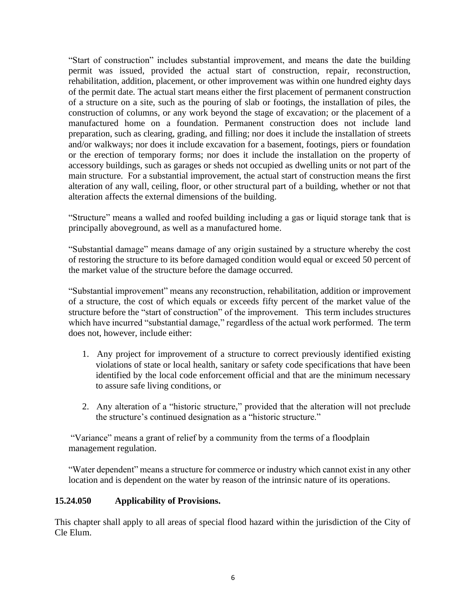"Start of construction" includes substantial improvement, and means the date the building permit was issued, provided the actual start of construction, repair, reconstruction, rehabilitation, addition, placement, or other improvement was within one hundred eighty days of the permit date. The actual start means either the first placement of permanent construction of a structure on a site, such as the pouring of slab or footings, the installation of piles, the construction of columns, or any work beyond the stage of excavation; or the placement of a manufactured home on a foundation. Permanent construction does not include land preparation, such as clearing, grading, and filling; nor does it include the installation of streets and/or walkways; nor does it include excavation for a basement, footings, piers or foundation or the erection of temporary forms; nor does it include the installation on the property of accessory buildings, such as garages or sheds not occupied as dwelling units or not part of the main structure. For a substantial improvement, the actual start of construction means the first alteration of any wall, ceiling, floor, or other structural part of a building, whether or not that alteration affects the external dimensions of the building.

"Structure" means a walled and roofed building including a gas or liquid storage tank that is principally aboveground, as well as a manufactured home.

"Substantial damage" means damage of any origin sustained by a structure whereby the cost of restoring the structure to its before damaged condition would equal or exceed 50 percent of the market value of the structure before the damage occurred.

"Substantial improvement" means any reconstruction, rehabilitation, addition or improvement of a structure, the cost of which equals or exceeds fifty percent of the market value of the structure before the "start of construction" of the improvement. This term includes structures which have incurred "substantial damage," regardless of the actual work performed. The term does not, however, include either:

- 1. Any project for improvement of a structure to correct previously identified existing violations of state or local health, sanitary or safety code specifications that have been identified by the local code enforcement official and that are the minimum necessary to assure safe living conditions, or
- 2. Any alteration of a "historic structure," provided that the alteration will not preclude the structure's continued designation as a "historic structure."

"Variance" means a grant of relief by a community from the terms of a floodplain management regulation.

"Water dependent" means a structure for commerce or industry which cannot exist in any other location and is dependent on the water by reason of the intrinsic nature of its operations.

# <span id="page-5-0"></span>**15.24.050 Applicability of Provisions.**

This chapter shall apply to all areas of special flood hazard within the jurisdiction of the City of Cle Elum.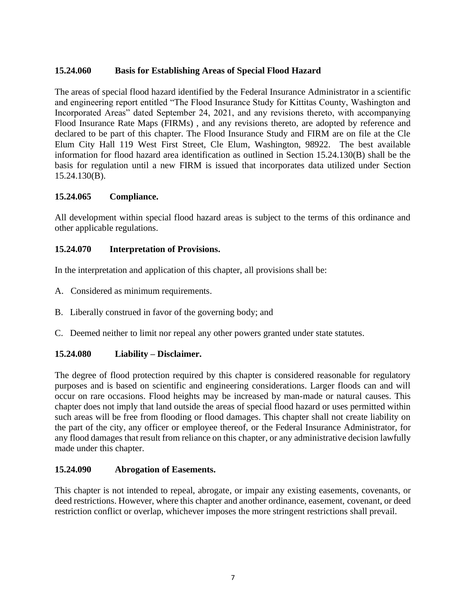# <span id="page-6-0"></span>**15.24.060 Basis for Establishing Areas of Special Flood Hazard**

The areas of special flood hazard identified by the Federal Insurance Administrator in a scientific and engineering report entitled "The Flood Insurance Study for Kittitas County, Washington and Incorporated Areas" dated September 24, 2021, and any revisions thereto, with accompanying Flood Insurance Rate Maps (FIRMs) , and any revisions thereto, are adopted by reference and declared to be part of this chapter. The Flood Insurance Study and FIRM are on file at the Cle Elum City Hall 119 West First Street, Cle Elum, Washington, 98922. The best available information for flood hazard area identification as outlined in Section 15.24.130(B) shall be the basis for regulation until a new FIRM is issued that incorporates data utilized under Section 15.24.130(B).

# **15.24.065 Compliance.**

All development within special flood hazard areas is subject to the terms of this ordinance and other applicable regulations.

### <span id="page-6-1"></span>**15.24.070 Interpretation of Provisions.**

In the interpretation and application of this chapter, all provisions shall be:

- A. Considered as minimum requirements.
- B. Liberally construed in favor of the governing body; and
- C. Deemed neither to limit nor repeal any other powers granted under state statutes.

# <span id="page-6-2"></span>**15.24.080 Liability – Disclaimer.**

The degree of flood protection required by this chapter is considered reasonable for regulatory purposes and is based on scientific and engineering considerations. Larger floods can and will occur on rare occasions. Flood heights may be increased by man-made or natural causes. This chapter does not imply that land outside the areas of special flood hazard or uses permitted within such areas will be free from flooding or flood damages. This chapter shall not create liability on the part of the city, any officer or employee thereof, or the Federal Insurance Administrator, for any flood damages that result from reliance on this chapter, or any administrative decision lawfully made under this chapter.

#### <span id="page-6-3"></span>**15.24.090 Abrogation of Easements.**

This chapter is not intended to repeal, abrogate, or impair any existing easements, covenants, or deed restrictions. However, where this chapter and another ordinance, easement, covenant, or deed restriction conflict or overlap, whichever imposes the more stringent restrictions shall prevail.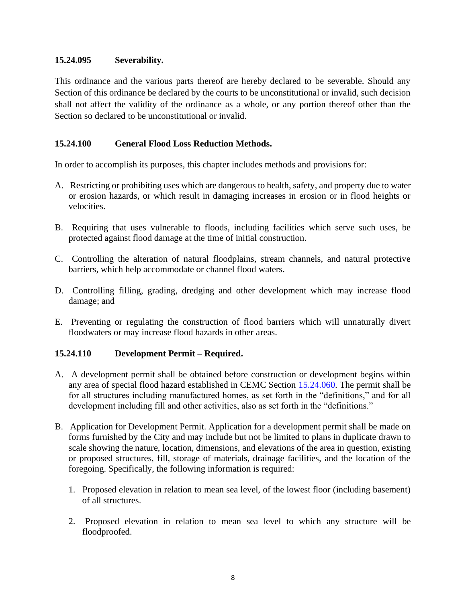### **15.24.095 Severability.**

This ordinance and the various parts thereof are hereby declared to be severable. Should any Section of this ordinance be declared by the courts to be unconstitutional or invalid, such decision shall not affect the validity of the ordinance as a whole, or any portion thereof other than the Section so declared to be unconstitutional or invalid.

# <span id="page-7-0"></span>**15.24.100 General Flood Loss Reduction Methods.**

In order to accomplish its purposes, this chapter includes methods and provisions for:

- A. Restricting or prohibiting uses which are dangerous to health, safety, and property due to water or erosion hazards, or which result in damaging increases in erosion or in flood heights or velocities.
- B. Requiring that uses vulnerable to floods, including facilities which serve such uses, be protected against flood damage at the time of initial construction.
- C. Controlling the alteration of natural floodplains, stream channels, and natural protective barriers, which help accommodate or channel flood waters.
- D. Controlling filling, grading, dredging and other development which may increase flood damage; and
- E. Preventing or regulating the construction of flood barriers which will unnaturally divert floodwaters or may increase flood hazards in other areas.

# <span id="page-7-1"></span>**15.24.110 Development Permit – Required.**

- A. A development permit shall be obtained before construction or development begins within any area of special flood hazard established in CEMC Section [15.24.060.](#page-6-0) The permit shall be for all structures including manufactured homes, as set forth in the "definitions," and for all development including fill and other activities, also as set forth in the "definitions."
- B. Application for Development Permit. Application for a development permit shall be made on forms furnished by the City and may include but not be limited to plans in duplicate drawn to scale showing the nature, location, dimensions, and elevations of the area in question, existing or proposed structures, fill, storage of materials, drainage facilities, and the location of the foregoing. Specifically, the following information is required:
	- 1. Proposed elevation in relation to mean sea level, of the lowest floor (including basement) of all structures.
	- 2. Proposed elevation in relation to mean sea level to which any structure will be floodproofed.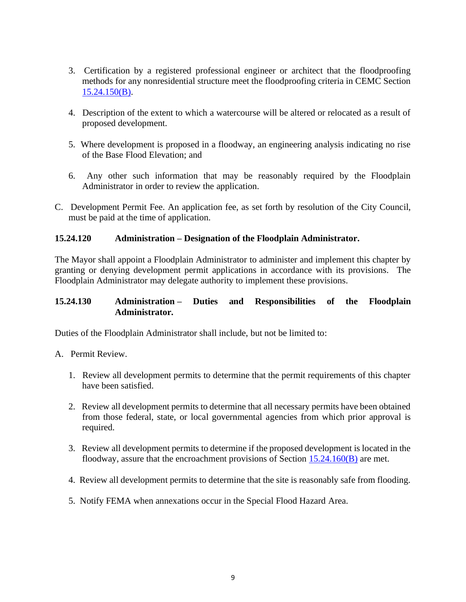- <span id="page-8-2"></span>3. Certification by a registered professional engineer or architect that the floodproofing methods for any nonresidential structure meet the floodproofing criteria in CEMC Section 15.24.150(B).
- 4. Description of the extent to which a watercourse will be altered or relocated as a result of proposed development.
- 5. Where development is proposed in a floodway, an engineering analysis indicating no rise of the Base Flood Elevation; and
- 6. Any other such information that may be reasonably required by the Floodplain Administrator in order to review the application.
- C. Development Permit Fee. An application fee, as set forth by resolution of the City Council, must be paid at the time of application.

### <span id="page-8-0"></span>**15.24.120 Administration – Designation of the Floodplain Administrator.**

The Mayor shall appoint a Floodplain Administrator to administer and implement this chapter by granting or denying development permit applications in accordance with its provisions. The Floodplain Administrator may delegate authority to implement these provisions.

### <span id="page-8-1"></span>**15.24.130 Administration – Duties and Responsibilities of the Floodplain Administrator.**

Duties of the Floodplain Administrator shall include, but not be limited to:

- A. Permit Review.
	- 1. Review all development permits to determine that the permit requirements of this chapter have been satisfied.
	- 2. Review all development permits to determine that all necessary permits have been obtained from those federal, state, or local governmental agencies from which prior approval is required.
	- 3. Review all development permits to determine if the proposed development is located in the floodway, assure that the encroachment provisions of Section [15.24.160\(B\)](#page-17-0) are met.
	- 4. Review all development permits to determine that the site is reasonably safe from flooding.
	- 5. Notify FEMA when annexations occur in the Special Flood Hazard Area.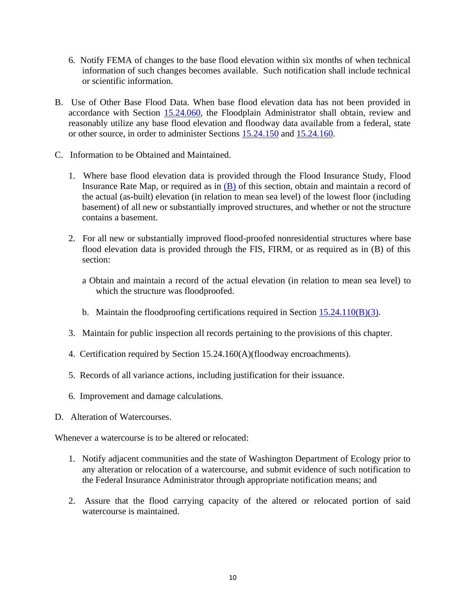- 6. Notify FEMA of changes to the base flood elevation within six months of when technical information of such changes becomes available. Such notification shall include technical or scientific information.
- <span id="page-9-0"></span>B. Use of Other Base Flood Data. When base flood elevation data has not been provided in accordance with Section [15.24.060,](#page-6-0) the Floodplain Administrator shall obtain, review and reasonably utilize any base flood elevation and floodway data available from a federal, state or other source, in order to administer Sections [15.24.150](#page-12-0) and [15.24.160.](#page-16-1)
- <span id="page-9-1"></span>C. Information to be Obtained and Maintained.
	- 1. Where base flood elevation data is provided through the Flood Insurance Study, Flood Insurance Rate Map, or required as in  $(B)$  of this section, obtain and maintain a record of the actual (as-built) elevation (in relation to mean sea level) of the lowest floor (including basement) of all new or substantially improved structures, and whether or not the structure contains a basement.
	- 2. For all new or substantially improved flood-proofed nonresidential structures where base flood elevation data is provided through the FIS, FIRM, or as required as in (B) of this section:
		- a Obtain and maintain a record of the actual elevation (in relation to mean sea level) to which the structure was floodproofed.
		- b. Maintain the floodproofing certifications required in Section  $15.24.110(B)(3)$ .
	- 3. Maintain for public inspection all records pertaining to the provisions of this chapter.
	- 4. Certification required by Section 15.24.160(A)(floodway encroachments).
	- 5. Records of all variance actions, including justification for their issuance.
	- 6. Improvement and damage calculations.
- D. Alteration of Watercourses.

Whenever a watercourse is to be altered or relocated:

- 1. Notify adjacent communities and the state of Washington Department of Ecology prior to any alteration or relocation of a watercourse, and submit evidence of such notification to the Federal Insurance Administrator through appropriate notification means; and
- 2. Assure that the flood carrying capacity of the altered or relocated portion of said watercourse is maintained.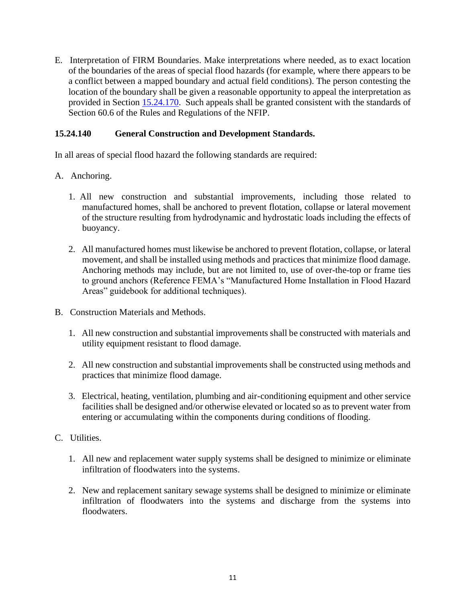E. Interpretation of FIRM Boundaries. Make interpretations where needed, as to exact location of the boundaries of the areas of special flood hazards (for example, where there appears to be a conflict between a mapped boundary and actual field conditions). The person contesting the location of the boundary shall be given a reasonable opportunity to appeal the interpretation as provided in Section 15.24.170. Such appeals shall be granted consistent with the standards of Section 60.6 of the Rules and Regulations of the NFIP.

# <span id="page-10-0"></span>**15.24.140 General Construction and Development Standards.**

In all areas of special flood hazard the following standards are required:

- A. Anchoring.
	- 1. All new construction and substantial improvements, including those related to manufactured homes, shall be anchored to prevent flotation, collapse or lateral movement of the structure resulting from hydrodynamic and hydrostatic loads including the effects of buoyancy.
	- 2. All manufactured homes must likewise be anchored to prevent flotation, collapse, or lateral movement, and shall be installed using methods and practices that minimize flood damage. Anchoring methods may include, but are not limited to, use of over-the-top or frame ties to ground anchors (Reference FEMA's "Manufactured Home Installation in Flood Hazard Areas" guidebook for additional techniques).
- <span id="page-10-1"></span>B. Construction Materials and Methods.
	- 1. All new construction and substantial improvements shall be constructed with materials and utility equipment resistant to flood damage.
	- 2. All new construction and substantial improvements shall be constructed using methods and practices that minimize flood damage.
	- 3. Electrical, heating, ventilation, plumbing and air-conditioning equipment and other service facilities shall be designed and/or otherwise elevated or located so as to prevent water from entering or accumulating within the components during conditions of flooding.
- C. Utilities.
	- 1. All new and replacement water supply systems shall be designed to minimize or eliminate infiltration of floodwaters into the systems.
	- 2. New and replacement sanitary sewage systems shall be designed to minimize or eliminate infiltration of floodwaters into the systems and discharge from the systems into floodwaters.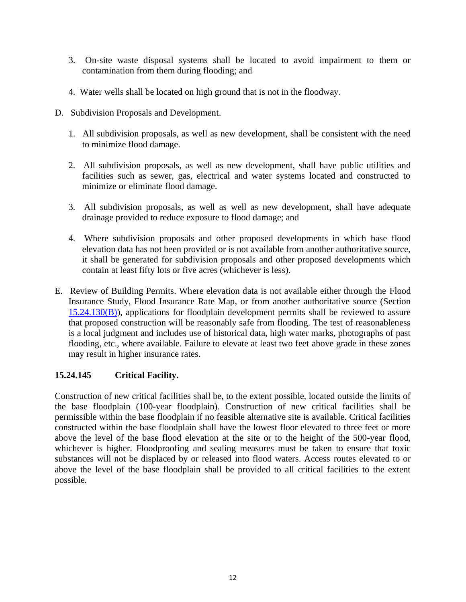- 3. On-site waste disposal systems shall be located to avoid impairment to them or contamination from them during flooding; and
- 4. Water wells shall be located on high ground that is not in the floodway.
- D. Subdivision Proposals and Development.
	- 1. All subdivision proposals, as well as new development, shall be consistent with the need to minimize flood damage.
	- 2. All subdivision proposals, as well as new development, shall have public utilities and facilities such as sewer, gas, electrical and water systems located and constructed to minimize or eliminate flood damage.
	- 3. All subdivision proposals, as well as well as new development, shall have adequate drainage provided to reduce exposure to flood damage; and
	- 4. Where subdivision proposals and other proposed developments in which base flood elevation data has not been provided or is not available from another authoritative source, it shall be generated for subdivision proposals and other proposed developments which contain at least fifty lots or five acres (whichever is less).
- E. Review of Building Permits. Where elevation data is not available either through the Flood Insurance Study, Flood Insurance Rate Map, or from another authoritative source (Section [15.24.130\(B\)\)](#page-9-0), applications for floodplain development permits shall be reviewed to assure that proposed construction will be reasonably safe from flooding. The test of reasonableness is a local judgment and includes use of historical data, high water marks, photographs of past flooding, etc., where available. Failure to elevate at least two feet above grade in these zones may result in higher insurance rates.

# <span id="page-11-0"></span>**15.24.145 Critical Facility.**

Construction of new critical facilities shall be, to the extent possible, located outside the limits of the base floodplain (100-year floodplain). Construction of new critical facilities shall be permissible within the base floodplain if no feasible alternative site is available. Critical facilities constructed within the base floodplain shall have the lowest floor elevated to three feet or more above the level of the base flood elevation at the site or to the height of the 500-year flood, whichever is higher. Floodproofing and sealing measures must be taken to ensure that toxic substances will not be displaced by or released into flood waters. Access routes elevated to or above the level of the base floodplain shall be provided to all critical facilities to the extent possible.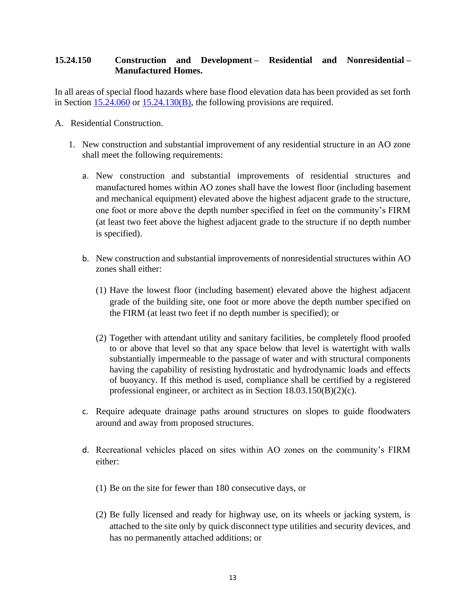### <span id="page-12-0"></span>**15.24.150 Construction and Development – Residential and Nonresidential – Manufactured Homes.**

In all areas of special flood hazards where base flood elevation data has been provided as set forth in Section [15.24.060](#page-6-0) or [15.24.130\(B\),](#page-9-0) the following provisions are required.

- A. Residential Construction.
	- 1. New construction and substantial improvement of any residential structure in an AO zone shall meet the following requirements:
		- a. New construction and substantial improvements of residential structures and manufactured homes within AO zones shall have the lowest floor (including basement and mechanical equipment) elevated above the highest adjacent grade to the structure, one foot or more above the depth number specified in feet on the community's FIRM (at least two feet above the highest adjacent grade to the structure if no depth number is specified).
		- b. New construction and substantial improvements of nonresidential structures within AO zones shall either:
			- (1) Have the lowest floor (including basement) elevated above the highest adjacent grade of the building site, one foot or more above the depth number specified on the FIRM (at least two feet if no depth number is specified); or
			- (2) Together with attendant utility and sanitary facilities, be completely flood proofed to or above that level so that any space below that level is watertight with walls substantially impermeable to the passage of water and with structural components having the capability of resisting hydrostatic and hydrodynamic loads and effects of buoyancy. If this method is used, compliance shall be certified by a registered professional engineer, or architect as in Section 18.03.150(B)(2)(c).
		- c. Require adequate drainage paths around structures on slopes to guide floodwaters around and away from proposed structures.
		- d. Recreational vehicles placed on sites within AO zones on the community's FIRM either:
			- (1) Be on the site for fewer than 180 consecutive days, or
			- (2) Be fully licensed and ready for highway use, on its wheels or jacking system, is attached to the site only by quick disconnect type utilities and security devices, and has no permanently attached additions; or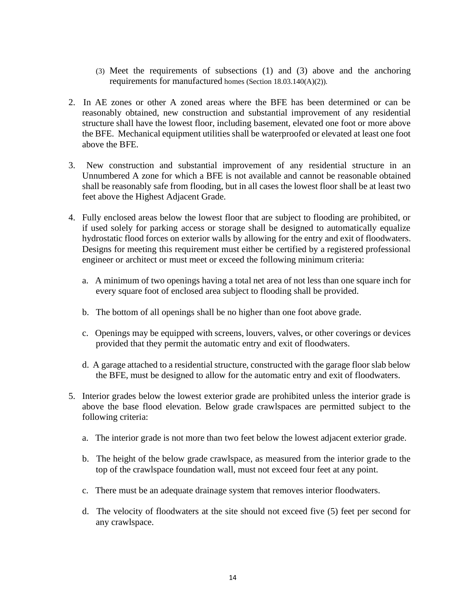- (3) Meet the requirements of subsections (1) and (3) above and the anchoring requirements for manufactured homes (Section 18.03.140(A)(2)).
- 2. In AE zones or other A zoned areas where the BFE has been determined or can be reasonably obtained, new construction and substantial improvement of any residential structure shall have the lowest floor, including basement, elevated one foot or more above the BFE. Mechanical equipment utilities shall be waterproofed or elevated at least one foot above the BFE.
- 3. New construction and substantial improvement of any residential structure in an Unnumbered A zone for which a BFE is not available and cannot be reasonable obtained shall be reasonably safe from flooding, but in all cases the lowest floor shall be at least two feet above the Highest Adjacent Grade.
- 4. Fully enclosed areas below the lowest floor that are subject to flooding are prohibited, or if used solely for parking access or storage shall be designed to automatically equalize hydrostatic flood forces on exterior walls by allowing for the entry and exit of floodwaters. Designs for meeting this requirement must either be certified by a registered professional engineer or architect or must meet or exceed the following minimum criteria:
	- a. A minimum of two openings having a total net area of not less than one square inch for every square foot of enclosed area subject to flooding shall be provided.
	- b. The bottom of all openings shall be no higher than one foot above grade.
	- c. Openings may be equipped with screens, louvers, valves, or other coverings or devices provided that they permit the automatic entry and exit of floodwaters.
	- d. A garage attached to a residential structure, constructed with the garage floor slab below the BFE, must be designed to allow for the automatic entry and exit of floodwaters.
- 5. Interior grades below the lowest exterior grade are prohibited unless the interior grade is above the base flood elevation. Below grade crawlspaces are permitted subject to the following criteria:
	- a. The interior grade is not more than two feet below the lowest adjacent exterior grade.
	- b. The height of the below grade crawlspace, as measured from the interior grade to the top of the crawlspace foundation wall, must not exceed four feet at any point.
	- c. There must be an adequate drainage system that removes interior floodwaters.
	- d. The velocity of floodwaters at the site should not exceed five (5) feet per second for any crawlspace.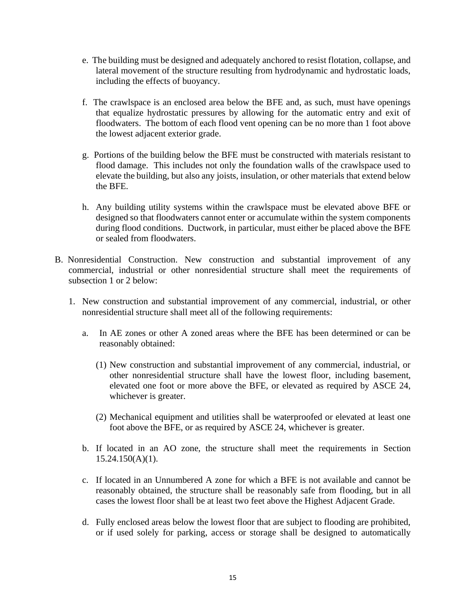- e. The building must be designed and adequately anchored to resist flotation, collapse, and lateral movement of the structure resulting from hydrodynamic and hydrostatic loads, including the effects of buoyancy.
- f. The crawlspace is an enclosed area below the BFE and, as such, must have openings that equalize hydrostatic pressures by allowing for the automatic entry and exit of floodwaters. The bottom of each flood vent opening can be no more than 1 foot above the lowest adjacent exterior grade.
- g. Portions of the building below the BFE must be constructed with materials resistant to flood damage. This includes not only the foundation walls of the crawlspace used to elevate the building, but also any joists, insulation, or other materials that extend below the BFE.
- h. Any building utility systems within the crawlspace must be elevated above BFE or designed so that floodwaters cannot enter or accumulate within the system components during flood conditions. Ductwork, in particular, must either be placed above the BFE or sealed from floodwaters.
- B. Nonresidential Construction. New construction and substantial improvement of any commercial, industrial or other nonresidential structure shall meet the requirements of subsection 1 or 2 below:
	- 1. New construction and substantial improvement of any commercial, industrial, or other nonresidential structure shall meet all of the following requirements:
		- a. In AE zones or other A zoned areas where the BFE has been determined or can be reasonably obtained:
			- (1) New construction and substantial improvement of any commercial, industrial, or other nonresidential structure shall have the lowest floor, including basement, elevated one foot or more above the BFE, or elevated as required by ASCE 24, whichever is greater.
			- (2) Mechanical equipment and utilities shall be waterproofed or elevated at least one foot above the BFE, or as required by ASCE 24, whichever is greater.
		- b. If located in an AO zone, the structure shall meet the requirements in Section  $15.24.150(A)(1)$ .
		- c. If located in an Unnumbered A zone for which a BFE is not available and cannot be reasonably obtained, the structure shall be reasonably safe from flooding, but in all cases the lowest floor shall be at least two feet above the Highest Adjacent Grade.
		- d. Fully enclosed areas below the lowest floor that are subject to flooding are prohibited, or if used solely for parking, access or storage shall be designed to automatically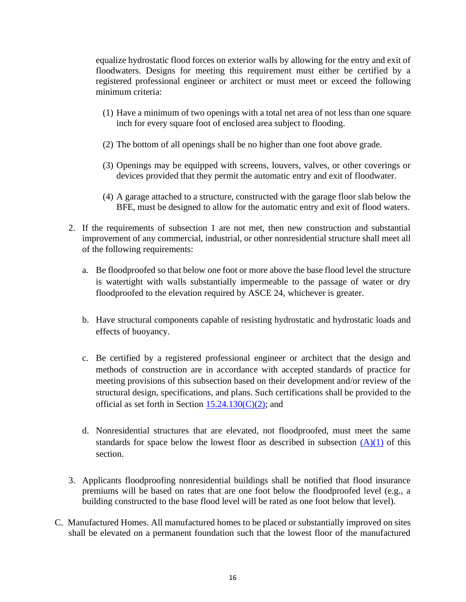equalize hydrostatic flood forces on exterior walls by allowing for the entry and exit of floodwaters. Designs for meeting this requirement must either be certified by a registered professional engineer or architect or must meet or exceed the following minimum criteria:

- (1) Have a minimum of two openings with a total net area of not less than one square inch for every square foot of enclosed area subject to flooding.
- (2) The bottom of all openings shall be no higher than one foot above grade.
- (3) Openings may be equipped with screens, louvers, valves, or other coverings or devices provided that they permit the automatic entry and exit of floodwater.
- (4) A garage attached to a structure, constructed with the garage floor slab below the BFE, must be designed to allow for the automatic entry and exit of flood waters.
- 2. If the requirements of subsection 1 are not met, then new construction and substantial improvement of any commercial, industrial, or other nonresidential structure shall meet all of the following requirements:
	- a. Be floodproofed so that below one foot or more above the base flood level the structure is watertight with walls substantially impermeable to the passage of water or dry floodproofed to the elevation required by ASCE 24, whichever is greater.
	- b. Have structural components capable of resisting hydrostatic and hydrostatic loads and effects of buoyancy.
	- c. Be certified by a registered professional engineer or architect that the design and methods of construction are in accordance with accepted standards of practice for meeting provisions of this subsection based on their development and/or review of the structural design, specifications, and plans. Such certifications shall be provided to the official as set forth in Section  $15.24.130(C)(2)$ ; and
	- d. Nonresidential structures that are elevated, not floodproofed, must meet the same standards for space below the lowest floor as described in subsection  $(A)(1)$  of this section.
- 3. Applicants floodproofing nonresidential buildings shall be notified that flood insurance premiums will be based on rates that are one foot below the floodproofed level (e.g., a building constructed to the base flood level will be rated as one foot below that level).
- C. Manufactured Homes. All manufactured homes to be placed or substantially improved on sites shall be elevated on a permanent foundation such that the lowest floor of the manufactured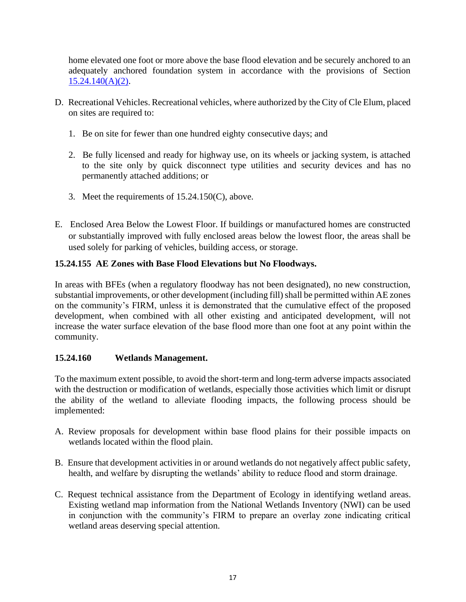home elevated one foot or more above the base flood elevation and be securely anchored to an adequately anchored foundation system in accordance with the provisions of Section [15.24.140\(A\)\(2\).](#page-10-1)

- D. Recreational Vehicles. Recreational vehicles, where authorized by the City of Cle Elum, placed on sites are required to:
	- 1. Be on site for fewer than one hundred eighty consecutive days; and
	- 2. Be fully licensed and ready for highway use, on its wheels or jacking system, is attached to the site only by quick disconnect type utilities and security devices and has no permanently attached additions; or
	- 3. Meet the requirements of 15.24.150(C), above.
- E. Enclosed Area Below the Lowest Floor. If buildings or manufactured homes are constructed or substantially improved with fully enclosed areas below the lowest floor, the areas shall be used solely for parking of vehicles, building access, or storage.

# <span id="page-16-0"></span>**15.24.155 AE Zones with Base Flood Elevations but No Floodways.**

In areas with BFEs (when a regulatory floodway has not been designated), no new construction, substantial improvements, or other development (including fill) shall be permitted within AE zones on the community's FIRM, unless it is demonstrated that the cumulative effect of the proposed development, when combined with all other existing and anticipated development, will not increase the water surface elevation of the base flood more than one foot at any point within the community.

# <span id="page-16-1"></span>**15.24.160 Wetlands Management.**

To the maximum extent possible, to avoid the short-term and long-term adverse impacts associated with the destruction or modification of wetlands, especially those activities which limit or disrupt the ability of the wetland to alleviate flooding impacts, the following process should be implemented:

- A. Review proposals for development within base flood plains for their possible impacts on wetlands located within the flood plain.
- B. Ensure that development activities in or around wetlands do not negatively affect public safety, health, and welfare by disrupting the wetlands' ability to reduce flood and storm drainage.
- C. Request technical assistance from the Department of Ecology in identifying wetland areas. Existing wetland map information from the National Wetlands Inventory (NWI) can be used in conjunction with the community's FIRM to prepare an overlay zone indicating critical wetland areas deserving special attention.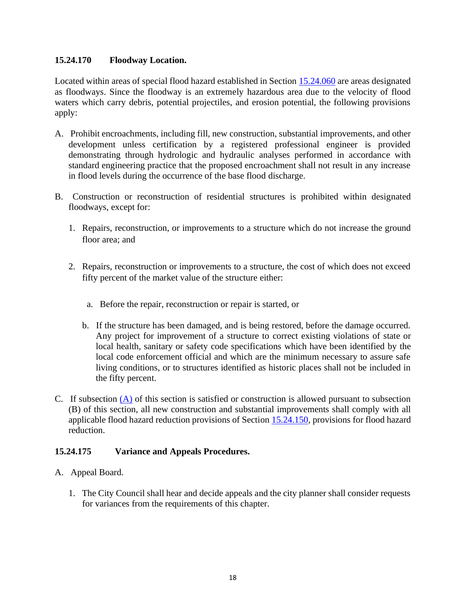### **15.24.170 Floodway Location.**

Located within areas of special flood hazard established in Section [15.24.060](#page-6-0) are areas designated as floodways. Since the floodway is an extremely hazardous area due to the velocity of flood waters which carry debris, potential projectiles, and erosion potential, the following provisions apply:

- A. Prohibit encroachments, including fill, new construction, substantial improvements, and other development unless certification by a registered professional engineer is provided demonstrating through hydrologic and hydraulic analyses performed in accordance with standard engineering practice that the proposed encroachment shall not result in any increase in flood levels during the occurrence of the base flood discharge.
- <span id="page-17-0"></span>B. Construction or reconstruction of residential structures is prohibited within designated floodways, except for:
	- 1. Repairs, reconstruction, or improvements to a structure which do not increase the ground floor area; and
	- 2. Repairs, reconstruction or improvements to a structure, the cost of which does not exceed fifty percent of the market value of the structure either:
		- a. Before the repair, reconstruction or repair is started, or
		- b. If the structure has been damaged, and is being restored, before the damage occurred. Any project for improvement of a structure to correct existing violations of state or local health, sanitary or safety code specifications which have been identified by the local code enforcement official and which are the minimum necessary to assure safe living conditions, or to structures identified as historic places shall not be included in the fifty percent.
- C. If subsection (A) of this section is satisfied or construction is allowed pursuant to subsection (B) of this section, all new construction and substantial improvements shall comply with all applicable flood hazard reduction provisions of Section [15.24.150,](#page-12-0) provisions for flood hazard reduction.

# **15.24.175 Variance and Appeals Procedures.**

- <span id="page-17-1"></span>A. Appeal Board.
	- 1. The City Council shall hear and decide appeals and the city planner shall consider requests for variances from the requirements of this chapter.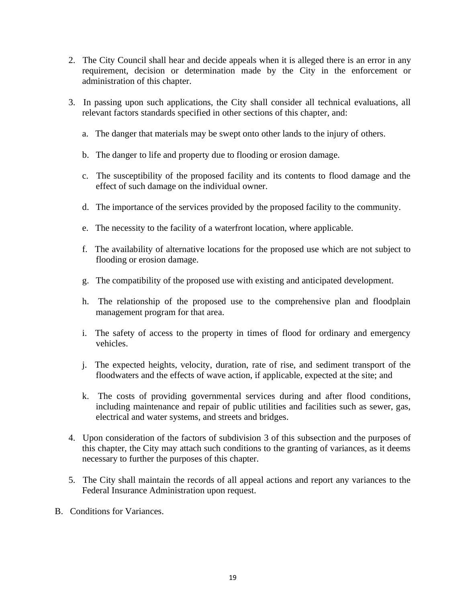- 2. The City Council shall hear and decide appeals when it is alleged there is an error in any requirement, decision or determination made by the City in the enforcement or administration of this chapter.
- <span id="page-18-0"></span>3. In passing upon such applications, the City shall consider all technical evaluations, all relevant factors standards specified in other sections of this chapter, and:
	- a. The danger that materials may be swept onto other lands to the injury of others.
	- b. The danger to life and property due to flooding or erosion damage.
	- c. The susceptibility of the proposed facility and its contents to flood damage and the effect of such damage on the individual owner.
	- d. The importance of the services provided by the proposed facility to the community.
	- e. The necessity to the facility of a waterfront location, where applicable.
	- f. The availability of alternative locations for the proposed use which are not subject to flooding or erosion damage.
	- g. The compatibility of the proposed use with existing and anticipated development.
	- h. The relationship of the proposed use to the comprehensive plan and floodplain management program for that area.
	- i. The safety of access to the property in times of flood for ordinary and emergency vehicles.
	- j. The expected heights, velocity, duration, rate of rise, and sediment transport of the floodwaters and the effects of wave action, if applicable, expected at the site; and
	- k. The costs of providing governmental services during and after flood conditions, including maintenance and repair of public utilities and facilities such as sewer, gas, electrical and water systems, and streets and bridges.
- 4. Upon consideration of the factors of subdivision 3 of this subsection and the purposes of this chapter, the City may attach such conditions to the granting of variances, as it deems necessary to further the purposes of this chapter.
- 5. The City shall maintain the records of all appeal actions and report any variances to the Federal Insurance Administration upon request.
- B. Conditions for Variances.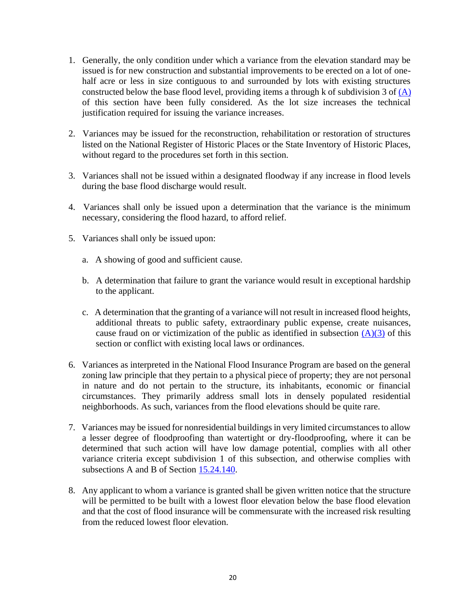- 1. Generally, the only condition under which a variance from the elevation standard may be issued is for new construction and substantial improvements to be erected on a lot of onehalf acre or less in size contiguous to and surrounded by lots with existing structures constructed below the base flood level, providing items a through k of subdivision 3 of [\(A\)](#page-17-1) of this section have been fully considered. As the lot size increases the technical justification required for issuing the variance increases.
- 2. Variances may be issued for the reconstruction, rehabilitation or restoration of structures listed on the National Register of Historic Places or the State Inventory of Historic Places, without regard to the procedures set forth in this section.
- 3. Variances shall not be issued within a designated floodway if any increase in flood levels during the base flood discharge would result.
- 4. Variances shall only be issued upon a determination that the variance is the minimum necessary, considering the flood hazard, to afford relief.
- 5. Variances shall only be issued upon:
	- a. A showing of good and sufficient cause.
	- b. A determination that failure to grant the variance would result in exceptional hardship to the applicant.
	- c. A determination that the granting of a variance will not result in increased flood heights, additional threats to public safety, extraordinary public expense, create nuisances, cause fraud on or victimization of the public as identified in subsection  $(A)(3)$  of this section or conflict with existing local laws or ordinances.
- 6. Variances as interpreted in the National Flood Insurance Program are based on the general zoning law principle that they pertain to a physical piece of property; they are not personal in nature and do not pertain to the structure, its inhabitants, economic or financial circumstances. They primarily address small lots in densely populated residential neighborhoods. As such, variances from the flood elevations should be quite rare.
- 7. Variances may be issued for nonresidential buildings in very limited circumstances to allow a lesser degree of floodproofing than watertight or dry-floodproofing, where it can be determined that such action will have low damage potential, complies with all other variance criteria except subdivision 1 of this subsection, and otherwise complies with subsections A and B of Section [15.24.140.](#page-10-0)
- 8. Any applicant to whom a variance is granted shall be given written notice that the structure will be permitted to be built with a lowest floor elevation below the base flood elevation and that the cost of flood insurance will be commensurate with the increased risk resulting from the reduced lowest floor elevation.